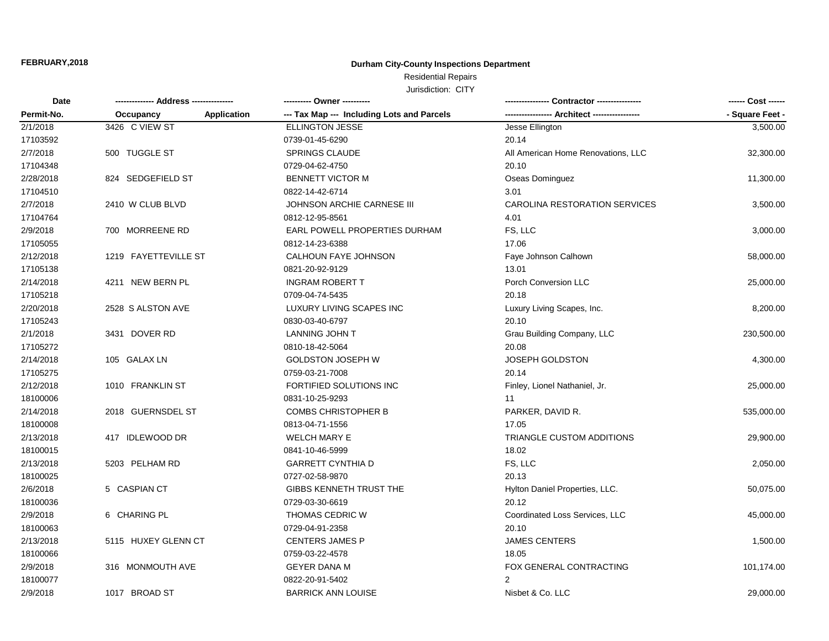## **Durham City-County Inspections Department**

# Residential Repairs

| Date<br>Permit-No. |                      |                    | ---------- Owner ---------                 |                                             | ------ Cost ------ |
|--------------------|----------------------|--------------------|--------------------------------------------|---------------------------------------------|--------------------|
|                    | Occupancy            | <b>Application</b> | --- Tax Map --- Including Lots and Parcels | ---------------- Architect ---------------- | - Square Feet -    |
| 2/1/2018           | 3426 C VIEW ST       |                    | <b>ELLINGTON JESSE</b>                     | Jesse Ellington                             | 3,500.00           |
| 17103592           |                      |                    | 0739-01-45-6290                            | 20.14                                       |                    |
| 2/7/2018           | 500 TUGGLE ST        |                    | <b>SPRINGS CLAUDE</b>                      | All American Home Renovations, LLC          | 32,300.00          |
| 17104348           |                      |                    | 0729-04-62-4750                            | 20.10                                       |                    |
| 2/28/2018          | 824 SEDGEFIELD ST    |                    | <b>BENNETT VICTOR M</b>                    | Oseas Dominguez                             | 11,300.00          |
| 17104510           |                      |                    | 0822-14-42-6714                            | 3.01                                        |                    |
| 2/7/2018           | 2410 W CLUB BLVD     |                    | JOHNSON ARCHIE CARNESE III                 | CAROLINA RESTORATION SERVICES               | 3,500.00           |
| 17104764           |                      |                    | 0812-12-95-8561                            | 4.01                                        |                    |
| 2/9/2018           | 700 MORREENE RD      |                    | EARL POWELL PROPERTIES DURHAM              | FS, LLC                                     | 3,000.00           |
| 17105055           |                      |                    | 0812-14-23-6388                            | 17.06                                       |                    |
| 2/12/2018          | 1219 FAYETTEVILLE ST |                    | CALHOUN FAYE JOHNSON                       | Faye Johnson Calhown                        | 58,000.00          |
| 17105138           |                      |                    | 0821-20-92-9129                            | 13.01                                       |                    |
| 2/14/2018          | 4211 NEW BERN PL     |                    | <b>INGRAM ROBERT T</b>                     | Porch Conversion LLC                        | 25,000.00          |
| 17105218           |                      |                    | 0709-04-74-5435                            | 20.18                                       |                    |
| 2/20/2018          | 2528 S ALSTON AVE    |                    | LUXURY LIVING SCAPES INC                   | Luxury Living Scapes, Inc.                  | 8,200.00           |
| 17105243           |                      |                    | 0830-03-40-6797                            | 20.10                                       |                    |
| 2/1/2018           | 3431 DOVER RD        |                    | LANNING JOHN T                             | Grau Building Company, LLC                  | 230,500.00         |
| 17105272           |                      |                    | 0810-18-42-5064                            | 20.08                                       |                    |
| 2/14/2018          | 105 GALAX LN         |                    | <b>GOLDSTON JOSEPH W</b>                   | <b>JOSEPH GOLDSTON</b>                      | 4,300.00           |
| 17105275           |                      |                    | 0759-03-21-7008                            | 20.14                                       |                    |
| 2/12/2018          | 1010 FRANKLIN ST     |                    | FORTIFIED SOLUTIONS INC                    | Finley, Lionel Nathaniel, Jr.               | 25,000.00          |
| 18100006           |                      |                    | 0831-10-25-9293                            | 11                                          |                    |
| 2/14/2018          | 2018 GUERNSDEL ST    |                    | <b>COMBS CHRISTOPHER B</b>                 | PARKER, DAVID R.                            | 535,000.00         |
| 18100008           |                      |                    | 0813-04-71-1556                            | 17.05                                       |                    |
| 2/13/2018          | 417 IDLEWOOD DR      |                    | <b>WELCH MARY E</b>                        | TRIANGLE CUSTOM ADDITIONS                   | 29,900.00          |
| 18100015           |                      |                    | 0841-10-46-5999                            | 18.02                                       |                    |
| 2/13/2018          | 5203 PELHAM RD       |                    | <b>GARRETT CYNTHIA D</b>                   | FS, LLC                                     | 2,050.00           |
| 18100025           |                      |                    | 0727-02-58-9870                            | 20.13                                       |                    |
| 2/6/2018           | 5 CASPIAN CT         |                    | GIBBS KENNETH TRUST THE                    | Hylton Daniel Properties, LLC.              | 50,075.00          |
| 18100036           |                      |                    | 0729-03-30-6619                            | 20.12                                       |                    |
| 2/9/2018           | 6 CHARING PL         |                    | THOMAS CEDRIC W                            | Coordinated Loss Services, LLC              | 45,000.00          |
| 18100063           |                      |                    | 0729-04-91-2358                            | 20.10                                       |                    |
| 2/13/2018          | 5115 HUXEY GLENN CT  |                    | <b>CENTERS JAMES P</b>                     | <b>JAMES CENTERS</b>                        | 1,500.00           |
| 18100066           |                      |                    | 0759-03-22-4578                            | 18.05                                       |                    |
| 2/9/2018           | 316 MONMOUTH AVE     |                    | <b>GEYER DANA M</b>                        | FOX GENERAL CONTRACTING                     | 101,174.00         |
| 18100077           |                      |                    | 0822-20-91-5402                            | $\overline{2}$                              |                    |
| 2/9/2018           | 1017 BROAD ST        |                    | <b>BARRICK ANN LOUISE</b>                  | Nisbet & Co. LLC                            | 29,000.00          |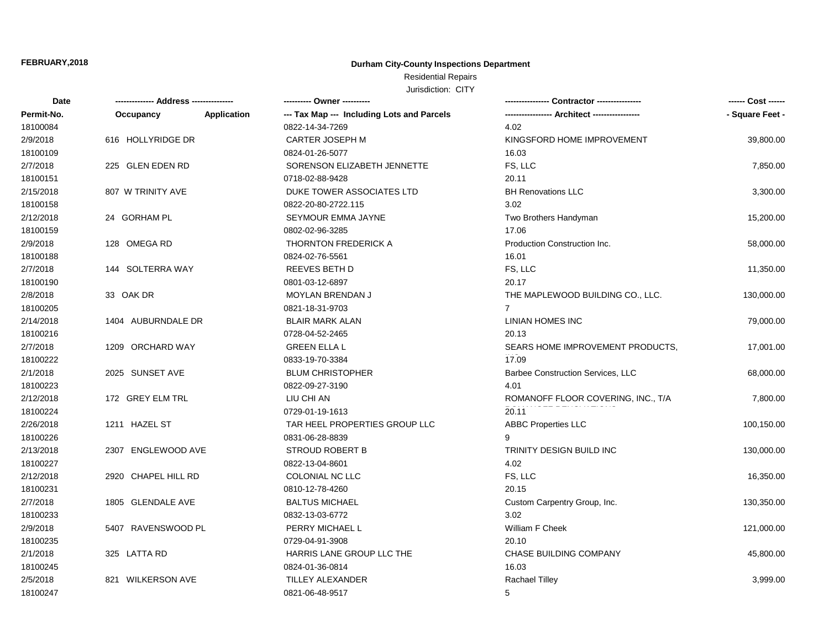## **Durham City-County Inspections Department**

## Residential Repairs

| Date       | -------------- Address --------------- |                    | ---------- Owner ----------                |                                          | ------ Cost ------ |
|------------|----------------------------------------|--------------------|--------------------------------------------|------------------------------------------|--------------------|
| Permit-No. | Occupancy                              | <b>Application</b> | --- Tax Map --- Including Lots and Parcels |                                          | - Square Feet -    |
| 18100084   |                                        |                    | 0822-14-34-7269                            | 4.02                                     |                    |
| 2/9/2018   | 616 HOLLYRIDGE DR                      |                    | CARTER JOSEPH M                            | KINGSFORD HOME IMPROVEMENT               | 39,800.00          |
| 18100109   |                                        |                    | 0824-01-26-5077                            | 16.03                                    |                    |
| 2/7/2018   | 225 GLEN EDEN RD                       |                    | SORENSON ELIZABETH JENNETTE                | FS, LLC                                  | 7,850.00           |
| 18100151   |                                        |                    | 0718-02-88-9428                            | 20.11                                    |                    |
| 2/15/2018  | 807 W TRINITY AVE                      |                    | DUKE TOWER ASSOCIATES LTD                  | <b>BH Renovations LLC</b>                | 3,300.00           |
| 18100158   |                                        |                    | 0822-20-80-2722.115                        | 3.02                                     |                    |
| 2/12/2018  | 24 GORHAM PL                           |                    | SEYMOUR EMMA JAYNE                         | Two Brothers Handyman                    | 15,200.00          |
| 18100159   |                                        |                    | 0802-02-96-3285                            | 17.06                                    |                    |
| 2/9/2018   | 128 OMEGA RD                           |                    | <b>THORNTON FREDERICK A</b>                | Production Construction Inc.             | 58,000.00          |
| 18100188   |                                        |                    | 0824-02-76-5561                            | 16.01                                    |                    |
| 2/7/2018   | 144 SOLTERRA WAY                       |                    | <b>REEVES BETH D</b>                       | FS, LLC                                  | 11,350.00          |
| 18100190   |                                        |                    | 0801-03-12-6897                            | 20.17                                    |                    |
| 2/8/2018   | 33 OAK DR                              |                    | MOYLAN BRENDAN J                           | THE MAPLEWOOD BUILDING CO., LLC.         | 130,000.00         |
| 18100205   |                                        |                    | 0821-18-31-9703                            | $\overline{7}$                           |                    |
| 2/14/2018  | 1404 AUBURNDALE DR                     |                    | <b>BLAIR MARK ALAN</b>                     | <b>LINIAN HOMES INC</b>                  | 79,000.00          |
| 18100216   |                                        |                    | 0728-04-52-2465                            | 20.13                                    |                    |
| 2/7/2018   | 1209 ORCHARD WAY                       |                    | <b>GREEN ELLA L</b>                        | SEARS HOME IMPROVEMENT PRODUCTS,         | 17,001.00          |
| 18100222   |                                        |                    | 0833-19-70-3384                            | 17.09                                    |                    |
| 2/1/2018   | 2025 SUNSET AVE                        |                    | <b>BLUM CHRISTOPHER</b>                    | <b>Barbee Construction Services, LLC</b> | 68,000.00          |
| 18100223   |                                        |                    | 0822-09-27-3190                            | 4.01                                     |                    |
| 2/12/2018  | 172 GREY ELM TRL                       |                    | LIU CHI AN                                 | ROMANOFF FLOOR COVERING, INC., T/A       | 7,800.00           |
| 18100224   |                                        |                    | 0729-01-19-1613                            | 20.11                                    |                    |
| 2/26/2018  | 1211 HAZEL ST                          |                    | TAR HEEL PROPERTIES GROUP LLC              | <b>ABBC Properties LLC</b>               | 100,150.00         |
| 18100226   |                                        |                    | 0831-06-28-8839                            | 9                                        |                    |
| 2/13/2018  | 2307 ENGLEWOOD AVE                     |                    | <b>STROUD ROBERT B</b>                     | TRINITY DESIGN BUILD INC                 | 130,000.00         |
| 18100227   |                                        |                    | 0822-13-04-8601                            | 4.02                                     |                    |
| 2/12/2018  | 2920 CHAPEL HILL RD                    |                    | COLONIAL NC LLC                            | FS, LLC                                  | 16,350.00          |
| 18100231   |                                        |                    | 0810-12-78-4260                            | 20.15                                    |                    |
| 2/7/2018   | 1805 GLENDALE AVE                      |                    | <b>BALTUS MICHAEL</b>                      | Custom Carpentry Group, Inc.             | 130,350.00         |
| 18100233   |                                        |                    | 0832-13-03-6772                            | 3.02                                     |                    |
| 2/9/2018   | 5407 RAVENSWOOD PL                     |                    | PERRY MICHAEL L                            | William F Cheek                          | 121,000.00         |
| 18100235   |                                        |                    | 0729-04-91-3908                            | 20.10                                    |                    |
| 2/1/2018   | 325 LATTA RD                           |                    | HARRIS LANE GROUP LLC THE                  | CHASE BUILDING COMPANY                   | 45,800.00          |
| 18100245   |                                        |                    | 0824-01-36-0814                            | 16.03                                    |                    |
| 2/5/2018   | 821 WILKERSON AVE                      |                    | TILLEY ALEXANDER                           | <b>Rachael Tilley</b>                    | 3,999.00           |
| 18100247   |                                        |                    | 0821-06-48-9517                            | 5                                        |                    |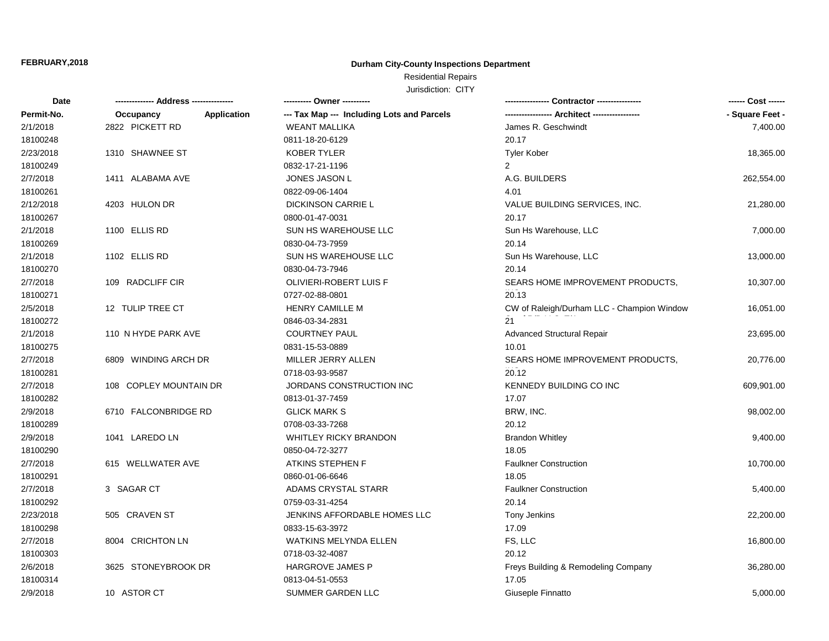## **Durham City-County Inspections Department**

Residential Repairs

| Date       |                                 |                                            |                                            |                 |
|------------|---------------------------------|--------------------------------------------|--------------------------------------------|-----------------|
| Permit-No. | <b>Application</b><br>Occupancy | --- Tax Map --- Including Lots and Parcels | -- Architect --                            | - Square Feet - |
| 2/1/2018   | 2822 PICKETT RD                 | <b>WEANT MALLIKA</b>                       | James R. Geschwindt                        | 7,400.00        |
| 18100248   |                                 | 0811-18-20-6129                            | 20.17                                      |                 |
| 2/23/2018  | 1310 SHAWNEE ST                 | <b>KOBER TYLER</b>                         | <b>Tyler Kober</b>                         | 18,365.00       |
| 18100249   |                                 | 0832-17-21-1196                            | 2                                          |                 |
| 2/7/2018   | 1411 ALABAMA AVE                | JONES JASON L                              | A.G. BUILDERS                              | 262,554.00      |
| 18100261   |                                 | 0822-09-06-1404                            | 4.01                                       |                 |
| 2/12/2018  | 4203 HULON DR                   | <b>DICKINSON CARRIE L</b>                  | VALUE BUILDING SERVICES, INC.              | 21,280.00       |
| 18100267   |                                 | 0800-01-47-0031                            | 20.17                                      |                 |
| 2/1/2018   | 1100 ELLIS RD                   | SUN HS WAREHOUSE LLC                       | Sun Hs Warehouse, LLC                      | 7,000.00        |
| 18100269   |                                 | 0830-04-73-7959                            | 20.14                                      |                 |
| 2/1/2018   | 1102 ELLIS RD                   | SUN HS WAREHOUSE LLC                       | Sun Hs Warehouse, LLC                      | 13,000.00       |
| 18100270   |                                 | 0830-04-73-7946                            | 20.14                                      |                 |
| 2/7/2018   | 109 RADCLIFF CIR                | OLIVIERI-ROBERT LUIS F                     | SEARS HOME IMPROVEMENT PRODUCTS,           | 10,307.00       |
| 18100271   |                                 | 0727-02-88-0801                            | 20.13                                      |                 |
| 2/5/2018   | 12 TULIP TREE CT                | <b>HENRY CAMILLE M</b>                     | CW of Raleigh/Durham LLC - Champion Window | 16,051.00       |
| 18100272   |                                 | 0846-03-34-2831                            | 21                                         |                 |
| 2/1/2018   | 110 N HYDE PARK AVE             | <b>COURTNEY PAUL</b>                       | <b>Advanced Structural Repair</b>          | 23,695.00       |
| 18100275   |                                 | 0831-15-53-0889                            | 10.01                                      |                 |
| 2/7/2018   | 6809 WINDING ARCH DR            | MILLER JERRY ALLEN                         | SEARS HOME IMPROVEMENT PRODUCTS.           | 20,776.00       |
| 18100281   |                                 | 0718-03-93-9587                            | 20.12                                      |                 |
| 2/7/2018   | 108 COPLEY MOUNTAIN DR          | JORDANS CONSTRUCTION INC                   | <b>KENNEDY BUILDING CO INC</b>             | 609,901.00      |
| 18100282   |                                 | 0813-01-37-7459                            | 17.07                                      |                 |
| 2/9/2018   | 6710 FALCONBRIDGE RD            | <b>GLICK MARK S</b>                        | BRW, INC.                                  | 98,002.00       |
| 18100289   |                                 | 0708-03-33-7268                            | 20.12                                      |                 |
| 2/9/2018   | 1041 LAREDO LN                  | <b>WHITLEY RICKY BRANDON</b>               | <b>Brandon Whitley</b>                     | 9,400.00        |
| 18100290   |                                 | 0850-04-72-3277                            | 18.05                                      |                 |
| 2/7/2018   | 615 WELLWATER AVE               | ATKINS STEPHEN F                           | <b>Faulkner Construction</b>               | 10,700.00       |
| 18100291   |                                 | 0860-01-06-6646                            | 18.05                                      |                 |
| 2/7/2018   | 3 SAGAR CT                      | ADAMS CRYSTAL STARR                        | <b>Faulkner Construction</b>               | 5,400.00        |
| 18100292   |                                 | 0759-03-31-4254                            | 20.14                                      |                 |
| 2/23/2018  | 505 CRAVEN ST                   | JENKINS AFFORDABLE HOMES LLC               | Tony Jenkins                               | 22,200.00       |
| 18100298   |                                 | 0833-15-63-3972                            | 17.09                                      |                 |
| 2/7/2018   | 8004 CRICHTON LN                | WATKINS MELYNDA ELLEN                      | FS, LLC                                    | 16,800.00       |
| 18100303   |                                 | 0718-03-32-4087                            | 20.12                                      |                 |
| 2/6/2018   | 3625 STONEYBROOK DR             | <b>HARGROVE JAMES P</b>                    | Freys Building & Remodeling Company        | 36,280.00       |
| 18100314   |                                 | 0813-04-51-0553                            | 17.05                                      |                 |
| 2/9/2018   | 10 ASTOR CT                     | SUMMER GARDEN LLC                          | Giuseple Finnatto                          | 5.000.00        |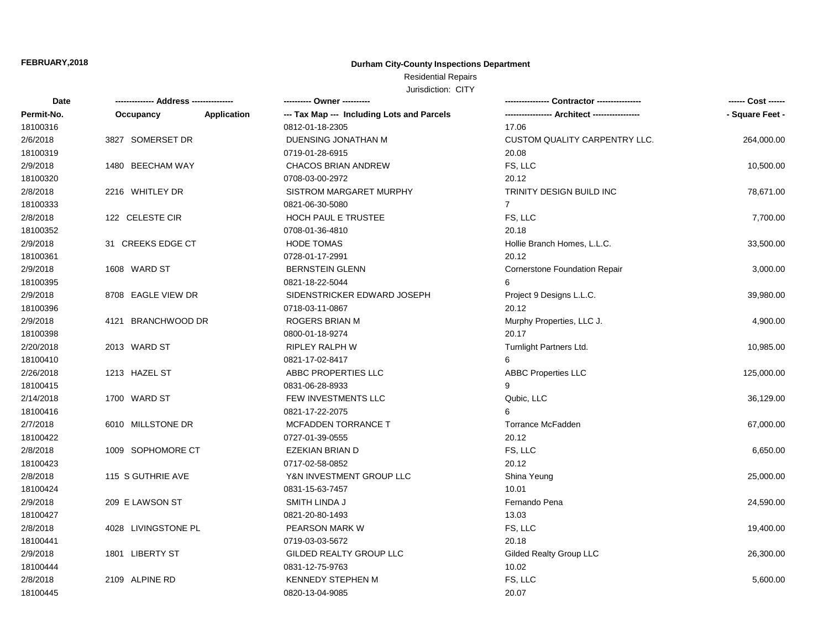## **Durham City-County Inspections Department**

# Residential Repairs

| Date       | -------------- Address --------------- | ---------- Owner ----------                |                                      | ------ Cost ------ |
|------------|----------------------------------------|--------------------------------------------|--------------------------------------|--------------------|
| Permit-No. | <b>Application</b><br>Occupancy        | --- Tax Map --- Including Lots and Parcels |                                      | - Square Feet -    |
| 18100316   |                                        | 0812-01-18-2305                            | 17.06                                |                    |
| 2/6/2018   | 3827 SOMERSET DR                       | DUENSING JONATHAN M                        | <b>CUSTOM QUALITY CARPENTRY LLC.</b> | 264,000.00         |
| 18100319   |                                        | 0719-01-28-6915                            | 20.08                                |                    |
| 2/9/2018   | 1480 BEECHAM WAY                       | <b>CHACOS BRIAN ANDREW</b>                 | FS, LLC                              | 10,500.00          |
| 18100320   |                                        | 0708-03-00-2972                            | 20.12                                |                    |
| 2/8/2018   | 2216 WHITLEY DR                        | SISTROM MARGARET MURPHY                    | TRINITY DESIGN BUILD INC             | 78,671.00          |
| 18100333   |                                        | 0821-06-30-5080                            | $\overline{7}$                       |                    |
| 2/8/2018   | 122 CELESTE CIR                        | HOCH PAUL E TRUSTEE                        | FS, LLC                              | 7,700.00           |
| 18100352   |                                        | 0708-01-36-4810                            | 20.18                                |                    |
| 2/9/2018   | 31 CREEKS EDGE CT                      | <b>HODE TOMAS</b>                          | Hollie Branch Homes, L.L.C.          | 33,500.00          |
| 18100361   |                                        | 0728-01-17-2991                            | 20.12                                |                    |
| 2/9/2018   | 1608 WARD ST                           | <b>BERNSTEIN GLENN</b>                     | <b>Cornerstone Foundation Repair</b> | 3,000.00           |
| 18100395   |                                        | 0821-18-22-5044                            | 6                                    |                    |
| 2/9/2018   | 8708 EAGLE VIEW DR                     | SIDENSTRICKER EDWARD JOSEPH                | Project 9 Designs L.L.C.             | 39,980.00          |
| 18100396   |                                        | 0718-03-11-0867                            | 20.12                                |                    |
| 2/9/2018   | 4121 BRANCHWOOD DR                     | ROGERS BRIAN M                             | Murphy Properties, LLC J.            | 4,900.00           |
| 18100398   |                                        | 0800-01-18-9274                            | 20.17                                |                    |
| 2/20/2018  | 2013 WARD ST                           | <b>RIPLEY RALPH W</b>                      | Turnlight Partners Ltd.              | 10,985.00          |
| 18100410   |                                        | 0821-17-02-8417                            | 6                                    |                    |
| 2/26/2018  | 1213 HAZEL ST                          | ABBC PROPERTIES LLC                        | <b>ABBC Properties LLC</b>           | 125,000.00         |
| 18100415   |                                        | 0831-06-28-8933                            | 9                                    |                    |
| 2/14/2018  | 1700 WARD ST                           | FEW INVESTMENTS LLC                        | Qubic, LLC                           | 36,129.00          |
| 18100416   |                                        | 0821-17-22-2075                            | 6                                    |                    |
| 2/7/2018   | 6010 MILLSTONE DR                      | MCFADDEN TORRANCE T                        | Torrance McFadden                    | 67,000.00          |
| 18100422   |                                        | 0727-01-39-0555                            | 20.12                                |                    |
| 2/8/2018   | 1009 SOPHOMORE CT                      | EZEKIAN BRIAN D                            | FS, LLC                              | 6,650.00           |
| 18100423   |                                        | 0717-02-58-0852                            | 20.12                                |                    |
| 2/8/2018   | 115 S GUTHRIE AVE                      | Y&N INVESTMENT GROUP LLC                   | Shina Yeung                          | 25,000.00          |
| 18100424   |                                        | 0831-15-63-7457                            | 10.01                                |                    |
| 2/9/2018   | 209 E LAWSON ST                        | SMITH LINDA J                              | Fernando Pena                        | 24,590.00          |
| 18100427   |                                        | 0821-20-80-1493                            | 13.03                                |                    |
| 2/8/2018   | 4028 LIVINGSTONE PL                    | PEARSON MARK W                             | FS, LLC                              | 19,400.00          |
| 18100441   |                                        | 0719-03-03-5672                            | 20.18                                |                    |
| 2/9/2018   | 1801 LIBERTY ST                        | GILDED REALTY GROUP LLC                    | Gilded Realty Group LLC              | 26,300.00          |
| 18100444   |                                        | 0831-12-75-9763                            | 10.02                                |                    |
| 2/8/2018   | 2109 ALPINE RD                         | <b>KENNEDY STEPHEN M</b>                   | FS, LLC                              | 5,600.00           |
| 18100445   |                                        | 0820-13-04-9085                            | 20.07                                |                    |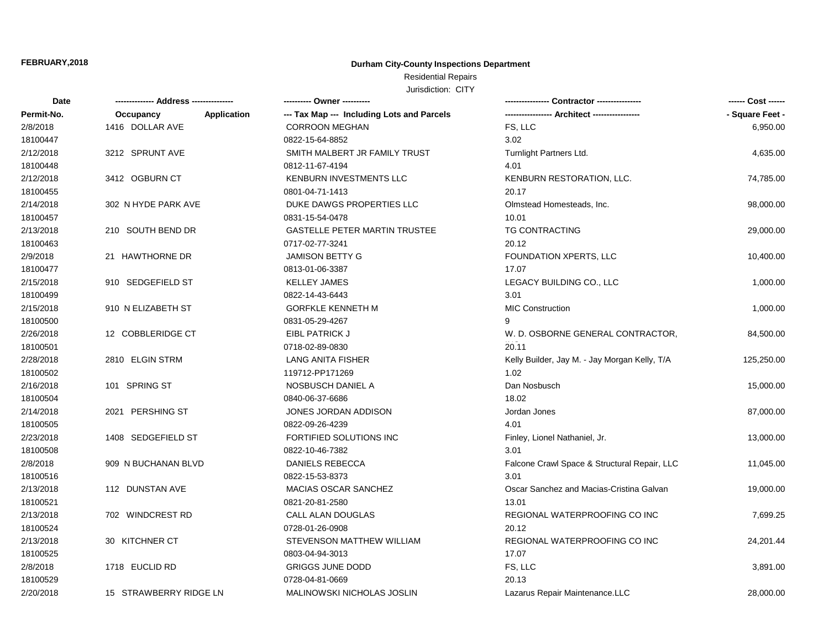## **Durham City-County Inspections Department**

# Residential Repairs

| Date       |                                 | ---------- Owner ----------                |                                               | ------ Cost ------ |
|------------|---------------------------------|--------------------------------------------|-----------------------------------------------|--------------------|
| Permit-No. | <b>Application</b><br>Occupancy | --- Tax Map --- Including Lots and Parcels |                                               | - Square Feet -    |
| 2/8/2018   | 1416 DOLLAR AVE                 | <b>CORROON MEGHAN</b>                      | FS, LLC                                       | 6,950.00           |
| 18100447   |                                 | 0822-15-64-8852                            | 3.02                                          |                    |
| 2/12/2018  | 3212 SPRUNT AVE                 | SMITH MALBERT JR FAMILY TRUST              | Turnlight Partners Ltd.                       | 4,635.00           |
| 18100448   |                                 | 0812-11-67-4194                            | 4.01                                          |                    |
| 2/12/2018  | 3412 OGBURN CT                  | KENBURN INVESTMENTS LLC                    | KENBURN RESTORATION, LLC.                     | 74,785.00          |
| 18100455   |                                 | 0801-04-71-1413                            | 20.17                                         |                    |
| 2/14/2018  | 302 N HYDE PARK AVE             | DUKE DAWGS PROPERTIES LLC                  | Olmstead Homesteads, Inc.                     | 98,000.00          |
| 18100457   |                                 | 0831-15-54-0478                            | 10.01                                         |                    |
| 2/13/2018  | 210 SOUTH BEND DR               | <b>GASTELLE PETER MARTIN TRUSTEE</b>       | <b>TG CONTRACTING</b>                         | 29,000.00          |
| 18100463   |                                 | 0717-02-77-3241                            | 20.12                                         |                    |
| 2/9/2018   | 21 HAWTHORNE DR                 | <b>JAMISON BETTY G</b>                     | FOUNDATION XPERTS, LLC                        | 10,400.00          |
| 18100477   |                                 | 0813-01-06-3387                            | 17.07                                         |                    |
| 2/15/2018  | 910 SEDGEFIELD ST               | <b>KELLEY JAMES</b>                        | LEGACY BUILDING CO., LLC                      | 1,000.00           |
| 18100499   |                                 | 0822-14-43-6443                            | 3.01                                          |                    |
| 2/15/2018  | 910 N ELIZABETH ST              | <b>GORFKLE KENNETH M</b>                   | <b>MIC Construction</b>                       | 1,000.00           |
| 18100500   |                                 | 0831-05-29-4267                            | 9                                             |                    |
| 2/26/2018  | 12 COBBLERIDGE CT               | EIBL PATRICK J                             | W. D. OSBORNE GENERAL CONTRACTOR,             | 84,500.00          |
| 18100501   |                                 | 0718-02-89-0830                            | 20.11                                         |                    |
| 2/28/2018  | 2810 ELGIN STRM                 | LANG ANITA FISHER                          | Kelly Builder, Jay M. - Jay Morgan Kelly, T/A | 125,250.00         |
| 18100502   |                                 | 119712-PP171269                            | 1.02                                          |                    |
| 2/16/2018  | 101 SPRING ST                   | NOSBUSCH DANIEL A                          | Dan Nosbusch                                  | 15,000.00          |
| 18100504   |                                 | 0840-06-37-6686                            | 18.02                                         |                    |
| 2/14/2018  | 2021 PERSHING ST                | JONES JORDAN ADDISON                       | Jordan Jones                                  | 87,000.00          |
| 18100505   |                                 | 0822-09-26-4239                            | 4.01                                          |                    |
| 2/23/2018  | 1408 SEDGEFIELD ST              | FORTIFIED SOLUTIONS INC                    | Finley, Lionel Nathaniel, Jr.                 | 13,000.00          |
| 18100508   |                                 | 0822-10-46-7382                            | 3.01                                          |                    |
| 2/8/2018   | 909 N BUCHANAN BLVD             | <b>DANIELS REBECCA</b>                     | Falcone Crawl Space & Structural Repair, LLC  | 11,045.00          |
| 18100516   |                                 | 0822-15-53-8373                            | 3.01                                          |                    |
| 2/13/2018  | 112 DUNSTAN AVE                 | MACIAS OSCAR SANCHEZ                       | Oscar Sanchez and Macias-Cristina Galvan      | 19,000.00          |
| 18100521   |                                 | 0821-20-81-2580                            | 13.01                                         |                    |
| 2/13/2018  | 702 WINDCREST RD                | CALL ALAN DOUGLAS                          | REGIONAL WATERPROOFING CO INC                 | 7,699.25           |
| 18100524   |                                 | 0728-01-26-0908                            | 20.12                                         |                    |
| 2/13/2018  | 30 KITCHNER CT                  | STEVENSON MATTHEW WILLIAM                  | REGIONAL WATERPROOFING CO INC                 | 24,201.44          |
| 18100525   |                                 | 0803-04-94-3013                            | 17.07                                         |                    |
| 2/8/2018   | 1718 EUCLID RD                  | <b>GRIGGS JUNE DODD</b>                    | FS, LLC                                       | 3,891.00           |
| 18100529   |                                 | 0728-04-81-0669                            | 20.13                                         |                    |
| 2/20/2018  | 15 STRAWBERRY RIDGE LN          | MALINOWSKI NICHOLAS JOSLIN                 | Lazarus Repair Maintenance.LLC                | 28.000.00          |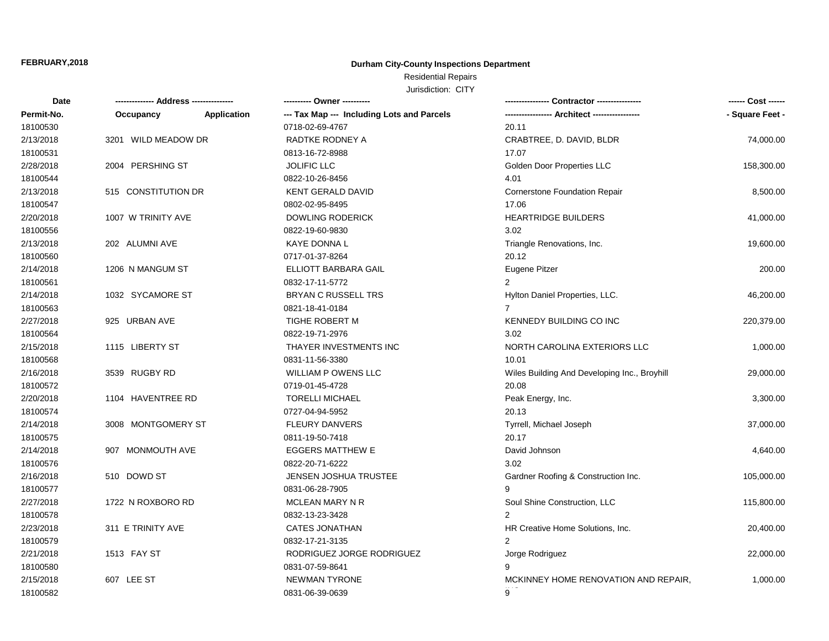## **Durham City-County Inspections Department**

Residential Repairs

| <b>Date</b> |                     |                    | ---------- Owner ----------                |                                              | ------ Cost ------ |
|-------------|---------------------|--------------------|--------------------------------------------|----------------------------------------------|--------------------|
| Permit-No.  | Occupancy           | <b>Application</b> | --- Tax Map --- Including Lots and Parcels |                                              | - Square Feet -    |
| 18100530    |                     |                    | 0718-02-69-4767                            | 20.11                                        |                    |
| 2/13/2018   | 3201 WILD MEADOW DR |                    | RADTKE RODNEY A                            | CRABTREE, D. DAVID, BLDR                     | 74,000.00          |
| 18100531    |                     |                    | 0813-16-72-8988                            | 17.07                                        |                    |
| 2/28/2018   | 2004 PERSHING ST    |                    | <b>JOLIFIC LLC</b>                         | Golden Door Properties LLC                   | 158,300.00         |
| 18100544    |                     |                    | 0822-10-26-8456                            | 4.01                                         |                    |
| 2/13/2018   | 515 CONSTITUTION DR |                    | <b>KENT GERALD DAVID</b>                   | <b>Cornerstone Foundation Repair</b>         | 8,500.00           |
| 18100547    |                     |                    | 0802-02-95-8495                            | 17.06                                        |                    |
| 2/20/2018   | 1007 W TRINITY AVE  |                    | <b>DOWLING RODERICK</b>                    | <b>HEARTRIDGE BUILDERS</b>                   | 41,000.00          |
| 18100556    |                     |                    | 0822-19-60-9830                            | 3.02                                         |                    |
| 2/13/2018   | 202 ALUMNI AVE      |                    | KAYE DONNA L                               | Triangle Renovations, Inc.                   | 19,600.00          |
| 18100560    |                     |                    | 0717-01-37-8264                            | 20.12                                        |                    |
| 2/14/2018   | 1206 N MANGUM ST    |                    | ELLIOTT BARBARA GAIL                       | Eugene Pitzer                                | 200.00             |
| 18100561    |                     |                    | 0832-17-11-5772                            | $\overline{2}$                               |                    |
| 2/14/2018   | 1032 SYCAMORE ST    |                    | <b>BRYAN C RUSSELL TRS</b>                 | Hylton Daniel Properties, LLC.               | 46,200.00          |
| 18100563    |                     |                    | 0821-18-41-0184                            | $\overline{7}$                               |                    |
| 2/27/2018   | 925 URBAN AVE       |                    | TIGHE ROBERT M                             | KENNEDY BUILDING CO INC                      | 220,379.00         |
| 18100564    |                     |                    | 0822-19-71-2976                            | 3.02                                         |                    |
| 2/15/2018   | 1115 LIBERTY ST     |                    | THAYER INVESTMENTS INC                     | NORTH CAROLINA EXTERIORS LLC                 | 1,000.00           |
| 18100568    |                     |                    | 0831-11-56-3380                            | 10.01                                        |                    |
| 2/16/2018   | 3539 RUGBY RD       |                    | WILLIAM P OWENS LLC                        | Wiles Building And Developing Inc., Broyhill | 29,000.00          |
| 18100572    |                     |                    | 0719-01-45-4728                            | 20.08                                        |                    |
| 2/20/2018   | 1104 HAVENTREE RD   |                    | <b>TORELLI MICHAEL</b>                     | Peak Energy, Inc.                            | 3,300.00           |
| 18100574    |                     |                    | 0727-04-94-5952                            | 20.13                                        |                    |
| 2/14/2018   | 3008 MONTGOMERY ST  |                    | <b>FLEURY DANVERS</b>                      | Tyrrell, Michael Joseph                      | 37,000.00          |
| 18100575    |                     |                    | 0811-19-50-7418                            | 20.17                                        |                    |
| 2/14/2018   | 907 MONMOUTH AVE    |                    | <b>EGGERS MATTHEW E</b>                    | David Johnson                                | 4,640.00           |
| 18100576    |                     |                    | 0822-20-71-6222                            | 3.02                                         |                    |
| 2/16/2018   | 510 DOWD ST         |                    | <b>JENSEN JOSHUA TRUSTEE</b>               | Gardner Roofing & Construction Inc.          | 105,000.00         |
| 18100577    |                     |                    | 0831-06-28-7905                            | 9                                            |                    |
| 2/27/2018   | 1722 N ROXBORO RD   |                    | MCLEAN MARY N R                            | Soul Shine Construction, LLC                 | 115,800.00         |
| 18100578    |                     |                    | 0832-13-23-3428                            | 2                                            |                    |
| 2/23/2018   | 311 E TRINITY AVE   |                    | <b>CATES JONATHAN</b>                      | HR Creative Home Solutions, Inc.             | 20,400.00          |
| 18100579    |                     |                    | 0832-17-21-3135                            | 2                                            |                    |
| 2/21/2018   | 1513 FAY ST         |                    | RODRIGUEZ JORGE RODRIGUEZ                  | Jorge Rodriguez                              | 22,000.00          |
| 18100580    |                     |                    | 0831-07-59-8641                            | 9                                            |                    |
| 2/15/2018   | 607 LEE ST          |                    | <b>NEWMAN TYRONE</b>                       | MCKINNEY HOME RENOVATION AND REPAIR,         | 1,000.00           |
| 18100582    |                     |                    | 0831-06-39-0639                            | 9                                            |                    |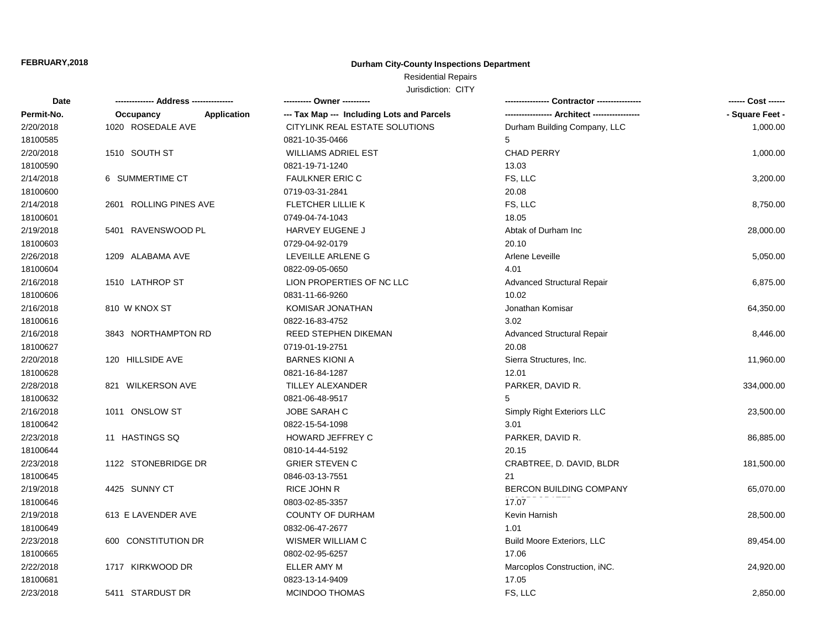## **Durham City-County Inspections Department**

## Residential Repairs

| Date       |                          | ---------- Owner ----------                |                                   | ------ Cost ------ |
|------------|--------------------------|--------------------------------------------|-----------------------------------|--------------------|
| Permit-No. | Application<br>Occupancy | --- Tax Map --- Including Lots and Parcels |                                   | - Square Feet -    |
| 2/20/2018  | 1020 ROSEDALE AVE        | CITYLINK REAL ESTATE SOLUTIONS             | Durham Building Company, LLC      | 1,000.00           |
| 18100585   |                          | 0821-10-35-0466                            | 5                                 |                    |
| 2/20/2018  | 1510 SOUTH ST            | <b>WILLIAMS ADRIEL EST</b>                 | CHAD PERRY                        | 1,000.00           |
| 18100590   |                          | 0821-19-71-1240                            | 13.03                             |                    |
| 2/14/2018  | 6 SUMMERTIME CT          | <b>FAULKNER ERIC C</b>                     | FS, LLC                           | 3,200.00           |
| 18100600   |                          | 0719-03-31-2841                            | 20.08                             |                    |
| 2/14/2018  | 2601 ROLLING PINES AVE   | FLETCHER LILLIE K                          | FS, LLC                           | 8,750.00           |
| 18100601   |                          | 0749-04-74-1043                            | 18.05                             |                    |
| 2/19/2018  | 5401 RAVENSWOOD PL       | HARVEY EUGENE J                            | Abtak of Durham Inc.              | 28,000.00          |
| 18100603   |                          | 0729-04-92-0179                            | 20.10                             |                    |
| 2/26/2018  | 1209 ALABAMA AVE         | LEVEILLE ARLENE G                          | Arlene Leveille                   | 5,050.00           |
| 18100604   |                          | 0822-09-05-0650                            | 4.01                              |                    |
| 2/16/2018  | 1510 LATHROP ST          | LION PROPERTIES OF NC LLC                  | <b>Advanced Structural Repair</b> | 6,875.00           |
| 18100606   |                          | 0831-11-66-9260                            | 10.02                             |                    |
| 2/16/2018  | 810 W KNOX ST            | KOMISAR JONATHAN                           | Jonathan Komisar                  | 64,350.00          |
| 18100616   |                          | 0822-16-83-4752                            | 3.02                              |                    |
| 2/16/2018  | 3843 NORTHAMPTON RD      | <b>REED STEPHEN DIKEMAN</b>                | <b>Advanced Structural Repair</b> | 8,446.00           |
| 18100627   |                          | 0719-01-19-2751                            | 20.08                             |                    |
| 2/20/2018  | 120 HILLSIDE AVE         | <b>BARNES KIONI A</b>                      | Sierra Structures, Inc.           | 11,960.00          |
| 18100628   |                          | 0821-16-84-1287                            | 12.01                             |                    |
| 2/28/2018  | 821 WILKERSON AVE        | <b>TILLEY ALEXANDER</b>                    | PARKER, DAVID R.                  | 334,000.00         |
| 18100632   |                          | 0821-06-48-9517                            | 5                                 |                    |
| 2/16/2018  | 1011 ONSLOW ST           | JOBE SARAH C                               | Simply Right Exteriors LLC        | 23,500.00          |
| 18100642   |                          | 0822-15-54-1098                            | 3.01                              |                    |
| 2/23/2018  | 11 HASTINGS SQ           | HOWARD JEFFREY C                           | PARKER, DAVID R.                  | 86,885.00          |
| 18100644   |                          | 0810-14-44-5192                            | 20.15                             |                    |
| 2/23/2018  | 1122 STONEBRIDGE DR      | <b>GRIER STEVEN C</b>                      | CRABTREE, D. DAVID, BLDR          | 181,500.00         |
| 18100645   |                          | 0846-03-13-7551                            | 21                                |                    |
| 2/19/2018  | 4425 SUNNY CT            | RICE JOHN R                                | BERCON BUILDING COMPANY           | 65,070.00          |
| 18100646   |                          | 0803-02-85-3357                            | 17.07                             |                    |
| 2/19/2018  | 613 E LAVENDER AVE       | COUNTY OF DURHAM                           | Kevin Harnish                     | 28,500.00          |
| 18100649   |                          | 0832-06-47-2677                            | 1.01                              |                    |
| 2/23/2018  | 600 CONSTITUTION DR      | <b>WISMER WILLIAM C</b>                    | <b>Build Moore Exteriors, LLC</b> | 89,454.00          |
| 18100665   |                          | 0802-02-95-6257                            | 17.06                             |                    |
| 2/22/2018  | 1717 KIRKWOOD DR         | ELLER AMY M                                | Marcoplos Construction, iNC.      | 24,920.00          |
| 18100681   |                          | 0823-13-14-9409                            | 17.05                             |                    |
| 2/23/2018  | 5411 STARDUST DR         | <b>MCINDOO THOMAS</b>                      | FS, LLC                           | 2,850.00           |